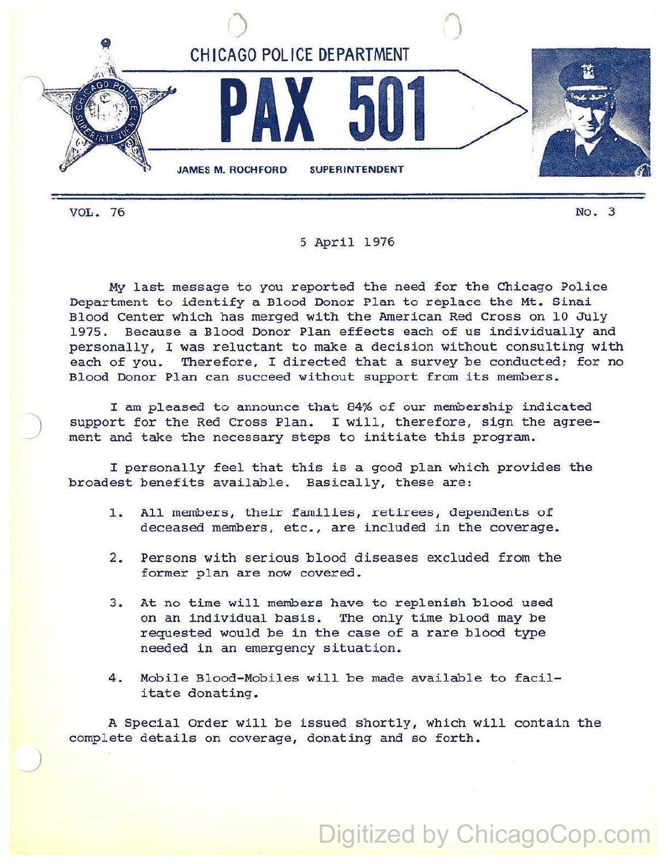

)

*J* 

## 5 April 1976

My last message to you reported the need for the Chicago Police Department to identify a Blood Donor Plan to replace the Mt. Sinai Blood Center which has merged with the American Red Cross on 10 July 1975. Because a Blood Donor Plan effects each of us individually and personally, I was reluctant to make a decision without consulting with each of you. Therefore, I directed that a survey be conducted; for no Blood Donor Plan can succeed without support from its members.

I am pleased to announce that 84% of our membership indicated support for the Red Cross Plan. I will, therefore, sign the agreement and take the necessary steps to initiate this program.

<sup>I</sup>personally feel that this is a good plan which provides the broadest benefits available. Basically, these are:

- 1. All members, their families, retirees, dependents of deceased members, etc., are included in the coverage.
- 2. Persons with serious blood diseases excluded from the former plan are now covered.
- 3. At no time will members have to replenish blood used on an individual basis. The only time blood may be requested would be in the case of a rare blood type needed in an emergency situation.
- 4. Mobile Blood-Mobiles will be made available to facilitate donating.

A Special order will be issued shortly, which will contain the complete details on coverage, donating and so forth.

## Digitized by ChicagoCop.com